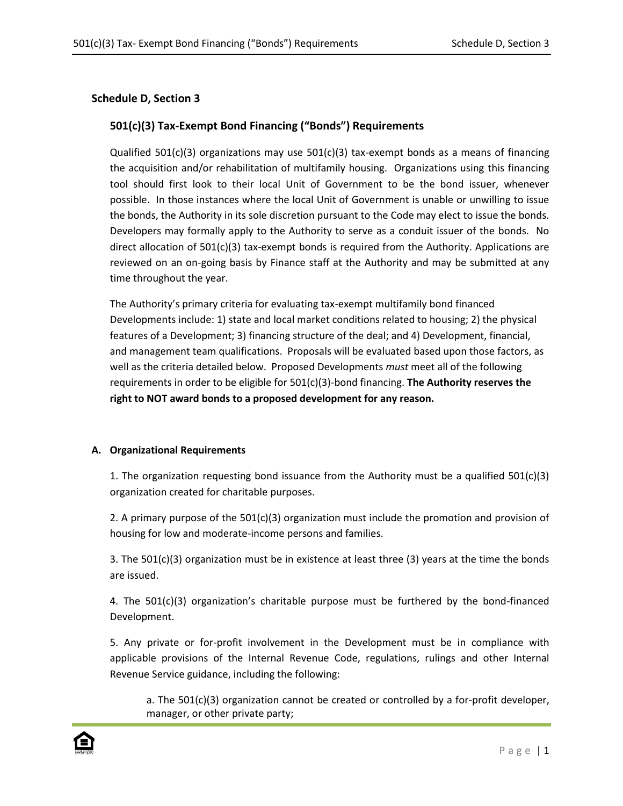# **Schedule D, Section 3**

# **501(c)(3) Tax-Exempt Bond Financing ("Bonds") Requirements**

Qualified  $501(c)(3)$  organizations may use  $501(c)(3)$  tax-exempt bonds as a means of financing the acquisition and/or rehabilitation of multifamily housing. Organizations using this financing tool should first look to their local Unit of Government to be the bond issuer, whenever possible. In those instances where the local Unit of Government is unable or unwilling to issue the bonds, the Authority in its sole discretion pursuant to the Code may elect to issue the bonds. Developers may formally apply to the Authority to serve as a conduit issuer of the bonds. No direct allocation of 501(c)(3) tax-exempt bonds is required from the Authority. Applications are reviewed on an on-going basis by Finance staff at the Authority and may be submitted at any time throughout the year.

The Authority's primary criteria for evaluating tax-exempt multifamily bond financed Developments include: 1) state and local market conditions related to housing; 2) the physical features of a Development; 3) financing structure of the deal; and 4) Development, financial, and management team qualifications. Proposals will be evaluated based upon those factors, as well as the criteria detailed below. Proposed Developments *must* meet all of the following requirements in order to be eligible for 501(c)(3)-bond financing. **The Authority reserves the right to NOT award bonds to a proposed development for any reason.**

## **A. Organizational Requirements**

1. The organization requesting bond issuance from the Authority must be a qualified  $501(c)(3)$ organization created for charitable purposes.

2. A primary purpose of the  $501(c)(3)$  organization must include the promotion and provision of housing for low and moderate-income persons and families.

3. The 501(c)(3) organization must be in existence at least three (3) years at the time the bonds are issued.

4. The  $501(c)(3)$  organization's charitable purpose must be furthered by the bond-financed Development.

5. Any private or for-profit involvement in the Development must be in compliance with applicable provisions of the Internal Revenue Code, regulations, rulings and other Internal Revenue Service guidance, including the following:

a. The 501(c)(3) organization cannot be created or controlled by a for-profit developer, manager, or other private party;

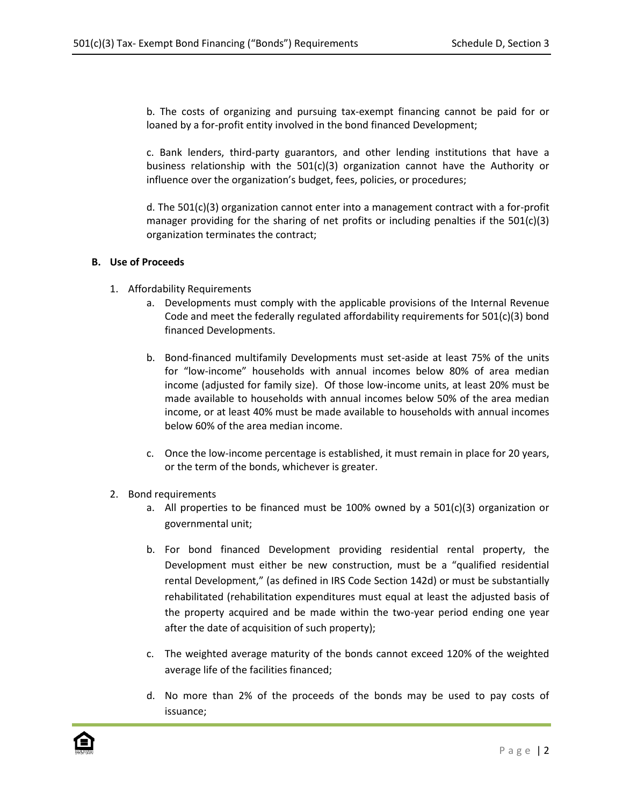b. The costs of organizing and pursuing tax-exempt financing cannot be paid for or loaned by a for-profit entity involved in the bond financed Development;

c. Bank lenders, third-party guarantors, and other lending institutions that have a business relationship with the  $501(c)(3)$  organization cannot have the Authority or influence over the organization's budget, fees, policies, or procedures;

d. The 501(c)(3) organization cannot enter into a management contract with a for-profit manager providing for the sharing of net profits or including penalties if the  $501(c)(3)$ organization terminates the contract;

#### **B. Use of Proceeds**

- 1. Affordability Requirements
	- a. Developments must comply with the applicable provisions of the Internal Revenue Code and meet the federally regulated affordability requirements for  $501(c)(3)$  bond financed Developments.
	- b. Bond-financed multifamily Developments must set-aside at least 75% of the units for "low-income" households with annual incomes below 80% of area median income (adjusted for family size). Of those low-income units, at least 20% must be made available to households with annual incomes below 50% of the area median income, or at least 40% must be made available to households with annual incomes below 60% of the area median income.
	- c. Once the low-income percentage is established, it must remain in place for 20 years, or the term of the bonds, whichever is greater.
- 2. Bond requirements
	- a. All properties to be financed must be 100% owned by a  $501(c)(3)$  organization or governmental unit;
	- b. For bond financed Development providing residential rental property, the Development must either be new construction, must be a "qualified residential rental Development," (as defined in IRS Code Section 142d) or must be substantially rehabilitated (rehabilitation expenditures must equal at least the adjusted basis of the property acquired and be made within the two-year period ending one year after the date of acquisition of such property);
	- c. The weighted average maturity of the bonds cannot exceed 120% of the weighted average life of the facilities financed;
	- d. No more than 2% of the proceeds of the bonds may be used to pay costs of issuance;

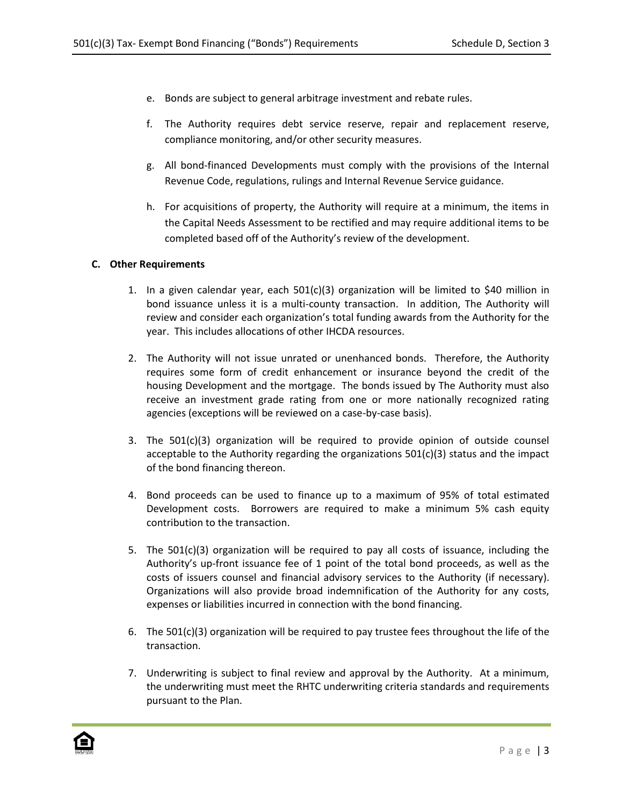- e. Bonds are subject to general arbitrage investment and rebate rules.
- f. The Authority requires debt service reserve, repair and replacement reserve, compliance monitoring, and/or other security measures.
- g. All bond-financed Developments must comply with the provisions of the Internal Revenue Code, regulations, rulings and Internal Revenue Service guidance.
- h. For acquisitions of property, the Authority will require at a minimum, the items in the Capital Needs Assessment to be rectified and may require additional items to be completed based off of the Authority's review of the development.

### **C. Other Requirements**

- 1. In a given calendar year, each 501(c)(3) organization will be limited to \$40 million in bond issuance unless it is a multi-county transaction. In addition, The Authority will review and consider each organization's total funding awards from the Authority for the year. This includes allocations of other IHCDA resources.
- 2. The Authority will not issue unrated or unenhanced bonds. Therefore, the Authority requires some form of credit enhancement or insurance beyond the credit of the housing Development and the mortgage. The bonds issued by The Authority must also receive an investment grade rating from one or more nationally recognized rating agencies (exceptions will be reviewed on a case-by-case basis).
- 3. The 501(c)(3) organization will be required to provide opinion of outside counsel acceptable to the Authority regarding the organizations  $501(c)(3)$  status and the impact of the bond financing thereon.
- 4. Bond proceeds can be used to finance up to a maximum of 95% of total estimated Development costs. Borrowers are required to make a minimum 5% cash equity contribution to the transaction.
- 5. The 501(c)(3) organization will be required to pay all costs of issuance, including the Authority's up-front issuance fee of 1 point of the total bond proceeds, as well as the costs of issuers counsel and financial advisory services to the Authority (if necessary). Organizations will also provide broad indemnification of the Authority for any costs, expenses or liabilities incurred in connection with the bond financing.
- 6. The  $501(c)(3)$  organization will be required to pay trustee fees throughout the life of the transaction.
- 7. Underwriting is subject to final review and approval by the Authority. At a minimum, the underwriting must meet the RHTC underwriting criteria standards and requirements pursuant to the Plan.

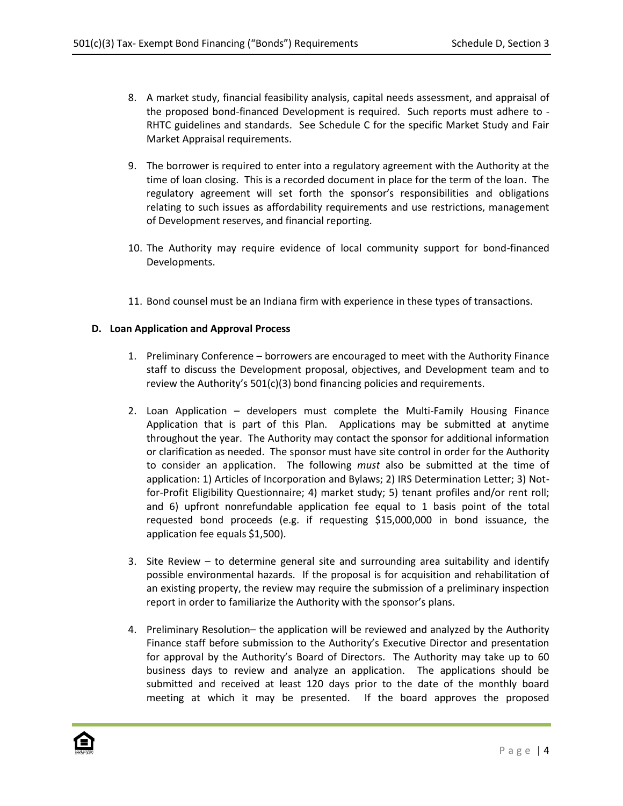- 8. A market study, financial feasibility analysis, capital needs assessment, and appraisal of the proposed bond-financed Development is required. Such reports must adhere to - RHTC guidelines and standards. See Schedule C for the specific Market Study and Fair Market Appraisal requirements.
- 9. The borrower is required to enter into a regulatory agreement with the Authority at the time of loan closing. This is a recorded document in place for the term of the loan. The regulatory agreement will set forth the sponsor's responsibilities and obligations relating to such issues as affordability requirements and use restrictions, management of Development reserves, and financial reporting.
- 10. The Authority may require evidence of local community support for bond-financed Developments.
- 11. Bond counsel must be an Indiana firm with experience in these types of transactions.

### **D. Loan Application and Approval Process**

- 1. Preliminary Conference borrowers are encouraged to meet with the Authority Finance staff to discuss the Development proposal, objectives, and Development team and to review the Authority's 501(c)(3) bond financing policies and requirements.
- 2. Loan Application developers must complete the Multi-Family Housing Finance Application that is part of this Plan. Applications may be submitted at anytime throughout the year. The Authority may contact the sponsor for additional information or clarification as needed. The sponsor must have site control in order for the Authority to consider an application. The following *must* also be submitted at the time of application: 1) Articles of Incorporation and Bylaws; 2) IRS Determination Letter; 3) Notfor-Profit Eligibility Questionnaire; 4) market study; 5) tenant profiles and/or rent roll; and 6) upfront nonrefundable application fee equal to 1 basis point of the total requested bond proceeds (e.g. if requesting \$15,000,000 in bond issuance, the application fee equals \$1,500).
- 3. Site Review to determine general site and surrounding area suitability and identify possible environmental hazards. If the proposal is for acquisition and rehabilitation of an existing property, the review may require the submission of a preliminary inspection report in order to familiarize the Authority with the sponsor's plans.
- 4. Preliminary Resolution– the application will be reviewed and analyzed by the Authority Finance staff before submission to the Authority's Executive Director and presentation for approval by the Authority's Board of Directors. The Authority may take up to 60 business days to review and analyze an application. The applications should be submitted and received at least 120 days prior to the date of the monthly board meeting at which it may be presented. If the board approves the proposed